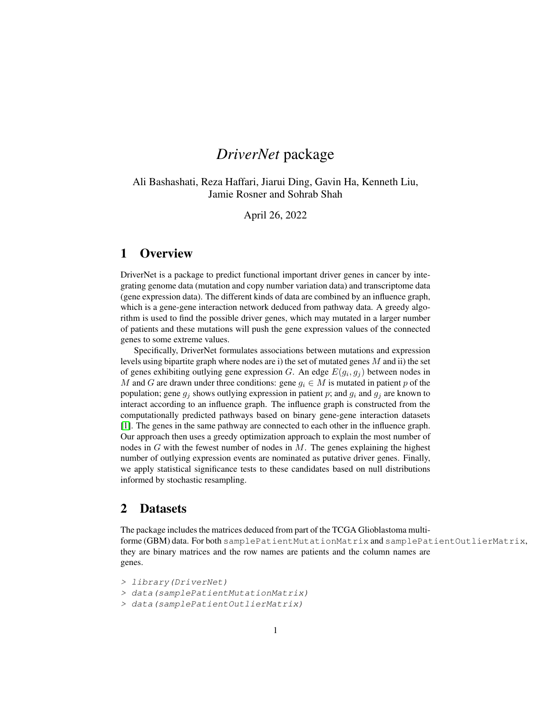# *DriverNet* package

Ali Bashashati, Reza Haffari, Jiarui Ding, Gavin Ha, Kenneth Liu, Jamie Rosner and Sohrab Shah

April 26, 2022

### 1 Overview

DriverNet is a package to predict functional important driver genes in cancer by integrating genome data (mutation and copy number variation data) and transcriptome data (gene expression data). The different kinds of data are combined by an influence graph, which is a gene-gene interaction network deduced from pathway data. A greedy algorithm is used to find the possible driver genes, which may mutated in a larger number of patients and these mutations will push the gene expression values of the connected genes to some extreme values.

Specifically, DriverNet formulates associations between mutations and expression levels using bipartite graph where nodes are i) the set of mutated genes  $M$  and ii) the set of genes exhibiting outlying gene expression G. An edge  $E(g_i, g_j)$  between nodes in M and G are drawn under three conditions: gene  $g_i \in M$  is mutated in patient p of the population; gene  $q_i$  shows outlying expression in patient p; and  $q_i$  and  $q_j$  are known to interact according to an influence graph. The influence graph is constructed from the computationally predicted pathways based on binary gene-gene interaction datasets [\[1\]](#page-2-0). The genes in the same pathway are connected to each other in the influence graph. Our approach then uses a greedy optimization approach to explain the most number of nodes in  $G$  with the fewest number of nodes in  $M$ . The genes explaining the highest number of outlying expression events are nominated as putative driver genes. Finally, we apply statistical significance tests to these candidates based on null distributions informed by stochastic resampling.

#### 2 Datasets

The package includes the matrices deduced from part of the TCGA Glioblastoma multiforme (GBM) data. For both samplePatientMutationMatrix and samplePatientOutlierMatrix, they are binary matrices and the row names are patients and the column names are genes.

- > library(DriverNet)
- > data(samplePatientMutationMatrix)
- > data(samplePatientOutlierMatrix)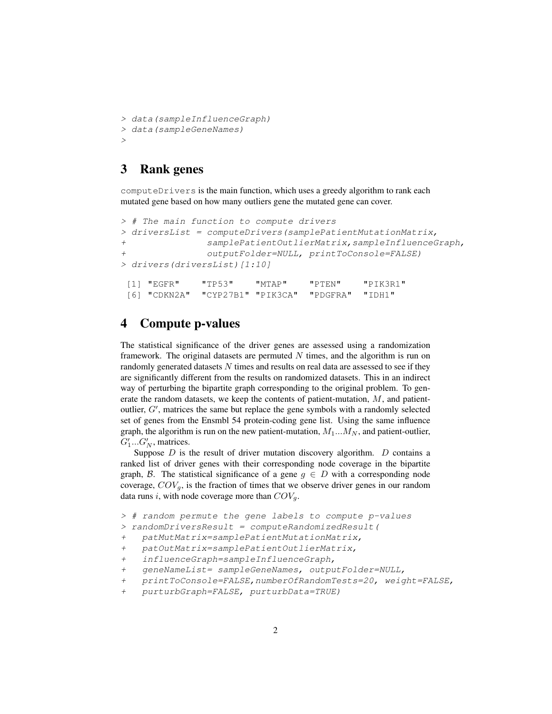```
> data(sampleInfluenceGraph)
> data(sampleGeneNames)
>
```
### 3 Rank genes

computeDrivers is the main function, which uses a greedy algorithm to rank each mutated gene based on how many outliers gene the mutated gene can cover.

```
> # The main function to compute drivers
> driversList = computeDrivers(samplePatientMutationMatrix,
+ samplePatientOutlierMatrix,sampleInfluenceGraph,
+ outputFolder=NULL, printToConsole=FALSE)
> drivers(driversList)[1:10]
[1] "EGFR" "TP53" "MTAP" "PTEN" "PIK3R1"
[6] "CDKN2A" "CYP27B1" "PIK3CA" "PDGFRA" "IDH1"
```
# 4 Compute p-values

The statistical significance of the driver genes are assessed using a randomization framework. The original datasets are permuted  $N$  times, and the algorithm is run on randomly generated datasets  $N$  times and results on real data are assessed to see if they are significantly different from the results on randomized datasets. This in an indirect way of perturbing the bipartite graph corresponding to the original problem. To generate the random datasets, we keep the contents of patient-mutation,  $M$ , and patientoutlier,  $G'$ , matrices the same but replace the gene symbols with a randomly selected set of genes from the Ensmbl 54 protein-coding gene list. Using the same influence graph, the algorithm is run on the new patient-mutation,  $M_1...M_N$ , and patient-outlier,  $G'_1...G'_N$ , matrices.

Suppose  $D$  is the result of driver mutation discovery algorithm.  $D$  contains a ranked list of driver genes with their corresponding node coverage in the bipartite graph, B. The statistical significance of a gene  $g \in D$  with a corresponding node coverage,  $COV_a$ , is the fraction of times that we observe driver genes in our random data runs i, with node coverage more than  $COV_a$ .

```
> # random permute the gene labels to compute p-values
> randomDriversResult = computeRandomizedResult(
   + patMutMatrix=samplePatientMutationMatrix,
+ patOutMatrix=samplePatientOutlierMatrix,
+ influenceGraph=sampleInfluenceGraph,
+ geneNameList= sampleGeneNames, outputFolder=NULL,
+ printToConsole=FALSE,numberOfRandomTests=20, weight=FALSE,
+ purturbGraph=FALSE, purturbData=TRUE)
```